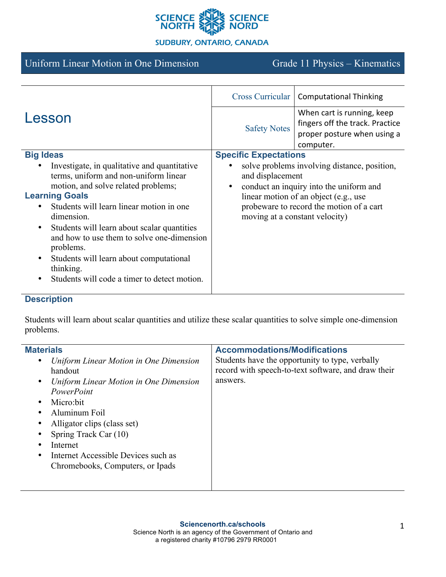

## **SUDBURY, ONTARIO, CANADA**

# Uniform Linear Motion in One Dimension Grade 11 Physics – Kinematics

| Lesson                                                   | Cross Curricular                             | <b>Computational Thinking</b>            |
|----------------------------------------------------------|----------------------------------------------|------------------------------------------|
|                                                          | <b>Safety Notes</b>                          | When cart is running, keep               |
|                                                          |                                              | fingers off the track. Practice          |
|                                                          |                                              | proper posture when using a              |
|                                                          |                                              | computer.                                |
| <b>Big Ideas</b>                                         | <b>Specific Expectations</b>                 |                                          |
| Investigate, in qualitative and quantitative             | solve problems involving distance, position, |                                          |
| terms, uniform and non-uniform linear                    | and displacement                             |                                          |
| motion, and solve related problems;                      | $\bullet$                                    | conduct an inquiry into the uniform and  |
| <b>Learning Goals</b>                                    | linear motion of an object (e.g., use        |                                          |
| Students will learn linear motion in one<br>$\bullet$    |                                              | probeware to record the motion of a cart |
| dimension.                                               |                                              | moving at a constant velocity)           |
| Students will learn about scalar quantities<br>$\bullet$ |                                              |                                          |
| and how to use them to solve one-dimension               |                                              |                                          |
| problems.                                                |                                              |                                          |
| Students will learn about computational<br>$\bullet$     |                                              |                                          |
| thinking.                                                |                                              |                                          |
| Students will code a timer to detect motion.             |                                              |                                          |
|                                                          |                                              |                                          |

## **Description**

Students will learn about scalar quantities and utilize these scalar quantities to solve simple one-dimension problems.

| <b>Materials</b>                                    | <b>Accommodations/Modifications</b>                 |
|-----------------------------------------------------|-----------------------------------------------------|
| Uniform Linear Motion in One Dimension              | Students have the opportunity to type, verbally     |
| handout                                             | record with speech-to-text software, and draw their |
| Uniform Linear Motion in One Dimension<br>$\bullet$ | answers.                                            |
| PowerPoint                                          |                                                     |
| Micro:bit<br>$\bullet$                              |                                                     |
| Aluminum Foil<br>٠                                  |                                                     |
| Alligator clips (class set)<br>٠                    |                                                     |
| Spring Track Car (10)                               |                                                     |
| Internet<br>٠                                       |                                                     |
| Internet Accessible Devices such as<br>$\bullet$    |                                                     |
| Chromebooks, Computers, or Ipads                    |                                                     |
|                                                     |                                                     |
|                                                     |                                                     |